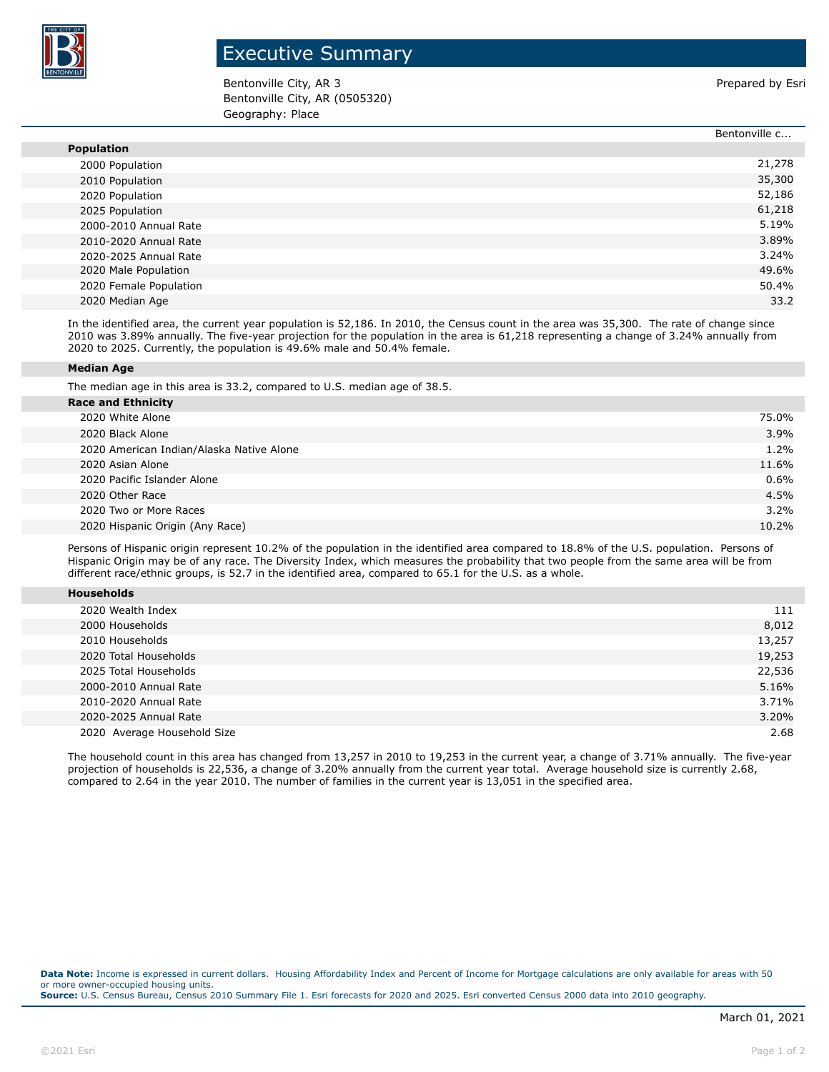

## Executive Summary

Bentonville City, AR 3 **Prepared by Esri** Prepared by Esri Bentonville City, AR (0505320) Geography: Place

|                        | Bentonville c |
|------------------------|---------------|
| <b>Population</b>      |               |
| 2000 Population        | 21,278        |
| 2010 Population        | 35,300        |
| 2020 Population        | 52,186        |
| 2025 Population        | 61,218        |
| 2000-2010 Annual Rate  | 5.19%         |
| 2010-2020 Annual Rate  | 3.89%         |
| 2020-2025 Annual Rate  | 3.24%         |
| 2020 Male Population   | 49.6%         |
| 2020 Female Population | 50.4%         |
| 2020 Median Age        | 33.2          |

In the identified area, the current year population is 52,186. In 2010, the Census count in the area was 35,300. The rate of change since 2010 was 3.89% annually. The five-year projection for the population in the area is 61,218 representing a change of 3.24% annually from 2020 to 2025. Currently, the population is 49.6% male and 50.4% female.

## **Median Age**

The median age in this area is 33.2, compared to U.S. median age of 38.5.

| <b>Race and Ethnicity</b>                |         |
|------------------------------------------|---------|
| 2020 White Alone                         | 75.0%   |
| 2020 Black Alone                         | 3.9%    |
| 2020 American Indian/Alaska Native Alone | $1.2\%$ |
| 2020 Asian Alone                         | 11.6%   |
| 2020 Pacific Islander Alone              | $0.6\%$ |
| 2020 Other Race                          | 4.5%    |
| 2020 Two or More Races                   | 3.2%    |
| 2020 Hispanic Origin (Any Race)          | 10.2%   |

Persons of Hispanic origin represent 10.2% of the population in the identified area compared to 18.8% of the U.S. population. Persons of Hispanic Origin may be of any race. The Diversity Index, which measures the probability that two people from the same area will be from different race/ethnic groups, is 52.7 in the identified area, compared to 65.1 for the U.S. as a whole.

| <b>Households</b> |  |
|-------------------|--|
|                   |  |

| 2020 Wealth Index           | 111    |
|-----------------------------|--------|
| 2000 Households             | 8,012  |
| 2010 Households             | 13,257 |
| 2020 Total Households       | 19,253 |
| 2025 Total Households       | 22,536 |
| 2000-2010 Annual Rate       | 5.16%  |
| 2010-2020 Annual Rate       | 3.71%  |
| 2020-2025 Annual Rate       | 3.20%  |
| 2020 Average Household Size | 2.68   |

The household count in this area has changed from 13,257 in 2010 to 19,253 in the current year, a change of 3.71% annually. The five-year projection of households is 22,536, a change of 3.20% annually from the current year total. Average household size is currently 2.68, compared to 2.64 in the year 2010. The number of families in the current year is 13,051 in the specified area.

**Data Note:** Income is expressed in current dollars. Housing Affordability Index and Percent of Income for Mortgage calculations are only available for areas with 50 or more owner-occupied housing units. **Source:** U.S. Census Bureau, Census 2010 Summary File 1. Esri forecasts for 2020 and 2025. Esri converted Census 2000 data into 2010 geography.